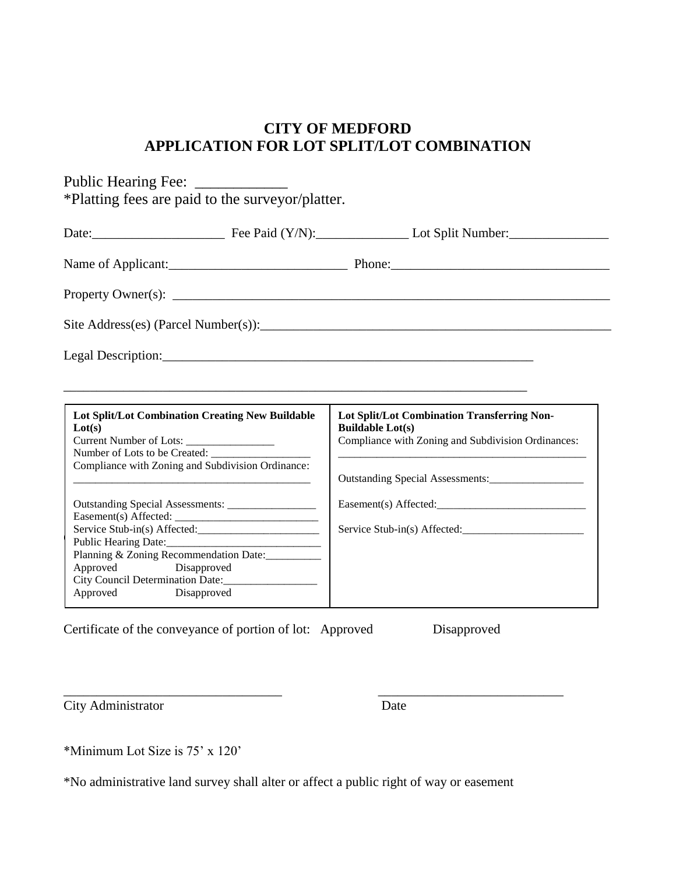## **CITY OF MEDFORD APPLICATION FOR LOT SPLIT/LOT COMBINATION**

| Public Hearing Fee: _____________<br>*Platting fees are paid to the surveyor/platter.       |                                                                                                                              |
|---------------------------------------------------------------------------------------------|------------------------------------------------------------------------------------------------------------------------------|
|                                                                                             | Date: Fee Paid (Y/N): Lot Split Number:                                                                                      |
|                                                                                             |                                                                                                                              |
|                                                                                             |                                                                                                                              |
| Site Address(es) (Parcel Number(s)):                                                        |                                                                                                                              |
|                                                                                             |                                                                                                                              |
|                                                                                             |                                                                                                                              |
| Lot Split/Lot Combination Creating New Buildable<br>Lot(s)<br>Number of Lots to be Created: | Lot Split/Lot Combination Transferring Non-<br><b>Buildable Lot(s)</b><br>Compliance with Zoning and Subdivision Ordinances: |
| Compliance with Zoning and Subdivision Ordinance:                                           |                                                                                                                              |
| Planning & Zoning Recommendation Date:                                                      | Easement(s) Affected:<br>Service Stub-in(s) Affected:                                                                        |
| Approved Disapproved<br>City Council Determination Date:<br>Approved<br>Disapproved         |                                                                                                                              |

Certificate of the conveyance of portion of lot: Approved Disapproved

City Administrator Date

\*Minimum Lot Size is 75' x 120'

\*No administrative land survey shall alter or affect a public right of way or easement

\_\_\_\_\_\_\_\_\_\_\_\_\_\_\_\_\_\_\_\_\_\_\_\_\_\_\_\_\_\_\_\_\_ \_\_\_\_\_\_\_\_\_\_\_\_\_\_\_\_\_\_\_\_\_\_\_\_\_\_\_\_